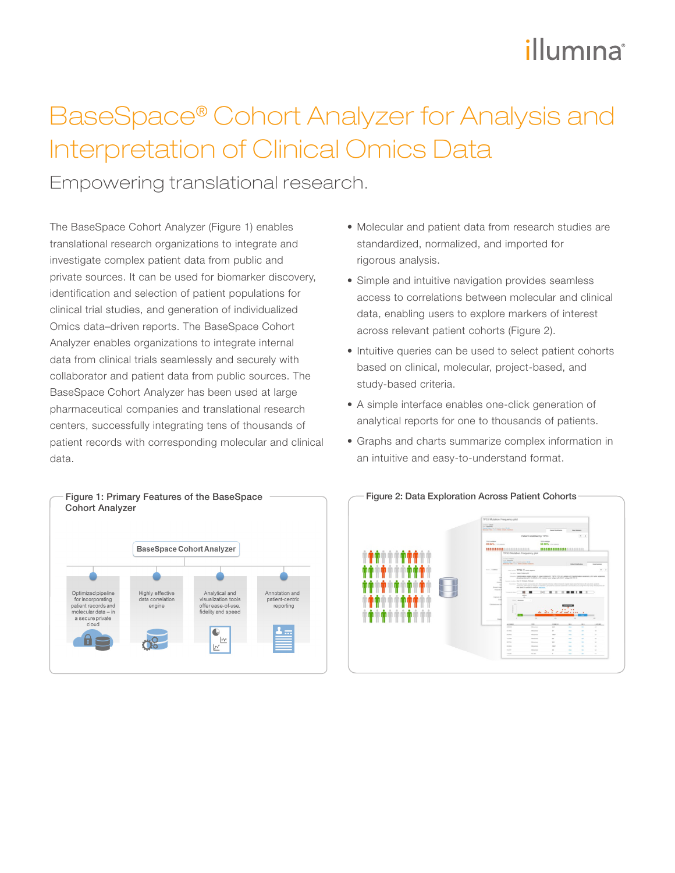# illumına

### BaseSpace® Cohort Analyzer for Analysis and Interpretation of Clinical Omics Data

Empowering translational research.

The BaseSpace Cohort Analyzer (Figure 1) enables translational research organizations to integrate and investigate complex patient data from public and private sources. It can be used for biomarker discovery, identification and selection of patient populations for clinical trial studies, and generation of individualized Omics data–driven reports. The BaseSpace Cohort Analyzer enables organizations to integrate internal data from clinical trials seamlessly and securely with collaborator and patient data from public sources. The BaseSpace Cohort Analyzer has been used at large pharmaceutical companies and translational research centers, successfully integrating tens of thousands of patient records with corresponding molecular and clinical data.



- Molecular and patient data from research studies are standardized, normalized, and imported for rigorous analysis.
- Simple and intuitive navigation provides seamless access to correlations between molecular and clinical data, enabling users to explore markers of interest across relevant patient cohorts (Figure 2).
- Intuitive queries can be used to select patient cohorts based on clinical, molecular, project-based, and study-based criteria.
- A simple interface enables one-click generation of analytical reports for one to thousands of patients.
- Graphs and charts summarize complex information in an intuitive and easy-to-understand format.

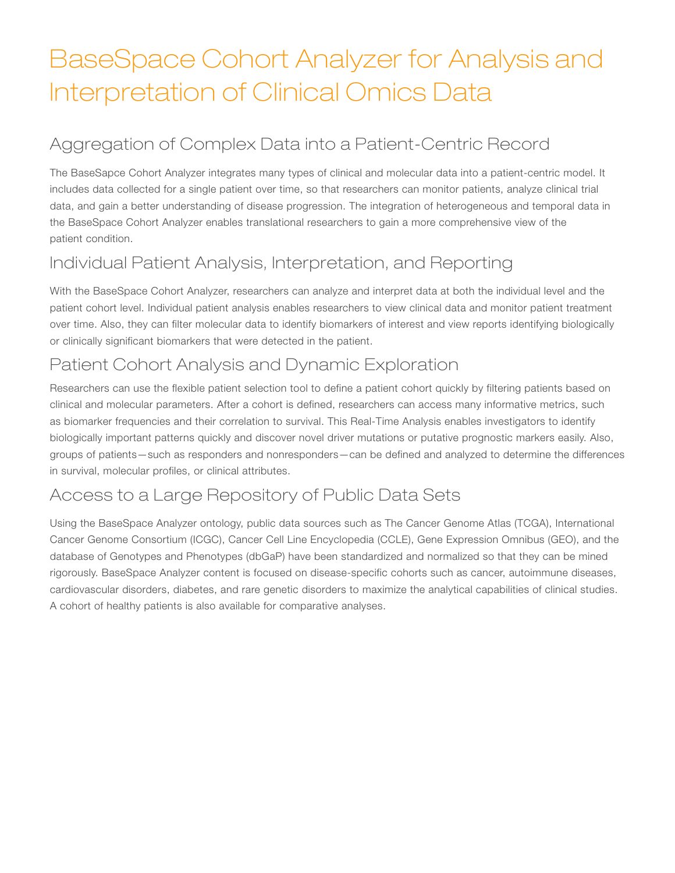### BaseSpace Cohort Analyzer for Analysis and Interpretation of Clinical Omics Data

### Aggregation of Complex Data into a Patient-Centric Record

The BaseSapce Cohort Analyzer integrates many types of clinical and molecular data into a patient-centric model. It includes data collected for a single patient over time, so that researchers can monitor patients, analyze clinical trial data, and gain a better understanding of disease progression. The integration of heterogeneous and temporal data in the BaseSpace Cohort Analyzer enables translational researchers to gain a more comprehensive view of the patient condition.

#### Individual Patient Analysis, Interpretation, and Reporting

With the BaseSpace Cohort Analyzer, researchers can analyze and interpret data at both the individual level and the patient cohort level. Individual patient analysis enables researchers to view clinical data and monitor patient treatment over time. Also, they can filter molecular data to identify biomarkers of interest and view reports identifying biologically or clinically significant biomarkers that were detected in the patient.

#### Patient Cohort Analysis and Dynamic Exploration

Researchers can use the flexible patient selection tool to define a patient cohort quickly by filtering patients based on clinical and molecular parameters. After a cohort is defined, researchers can access many informative metrics, such as biomarker frequencies and their correlation to survival. This Real-Time Analysis enables investigators to identify biologically important patterns quickly and discover novel driver mutations or putative prognostic markers easily. Also, groups of patients—such as responders and nonresponders—can be defined and analyzed to determine the differences in survival, molecular profiles, or clinical attributes.

### Access to a Large Repository of Public Data Sets

Using the BaseSpace Analyzer ontology, public data sources such as The Cancer Genome Atlas (TCGA), International Cancer Genome Consortium (ICGC), Cancer Cell Line Encyclopedia (CCLE), Gene Expression Omnibus (GEO), and the database of Genotypes and Phenotypes (dbGaP) have been standardized and normalized so that they can be mined rigorously. BaseSpace Analyzer content is focused on disease-specific cohorts such as cancer, autoimmune diseases, cardiovascular disorders, diabetes, and rare genetic disorders to maximize the analytical capabilities of clinical studies. A cohort of healthy patients is also available for comparative analyses.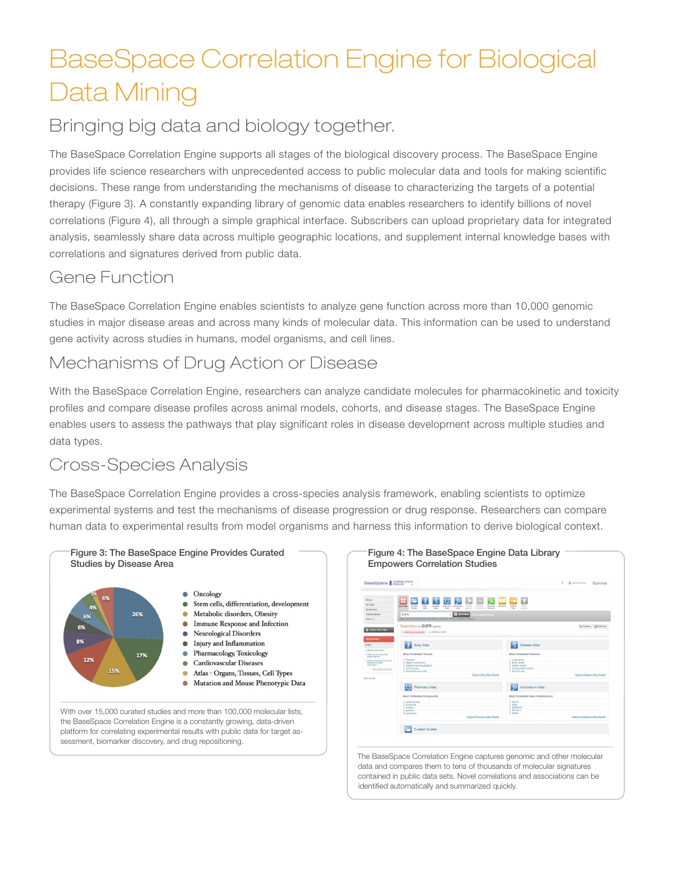## BaseSpace Correlation Engine for Biological Data Mining

### Bringing big data and biology together.

The BaseSpace Correlation Engine supports all stages of the biological discovery process. The BaseSpace Engine provides life science researchers with unprecedented access to public molecular data and tools for making scientific decisions. These range from understanding the mechanisms of disease to characterizing the targets of a potential therapy (Figure 3). A constantly expanding library of genomic data enables researchers to identify billions of novel correlations (Figure 4), all through a simple graphical interface. Subscribers can upload proprietary data for integrated analysis, seamlessly share data across multiple geographic locations, and supplement internal knowledge bases with correlations and signatures derived from public data.

### Gene Function

The BaseSpace Correlation Engine enables scientists to analyze gene function across more than 10,000 genomic studies in major disease areas and across many kinds of molecular data. This information can be used to understand gene activity across studies in humans, model organisms, and cell lines.

#### Mechanisms of Drug Action or Disease

With the BaseSpace Correlation Engine, researchers can analyze candidate molecules for pharmacokinetic and toxicity profiles and compare disease profiles across animal models, cohorts, and disease stages. The BaseSpace Engine enables users to assess the pathways that play significant roles in disease development across multiple studies and data types.

### Cross-Species Analysis

The BaseSpace Correlation Engine provides a cross-species analysis framework, enabling scientists to optimize experimental systems and test the mechanisms of disease progression or drug response. Researchers can compare human data to experimental results from model organisms and harness this information to derive biological context.





The BaseSpace Correlation Engine captures genomic and other molecular data and compares them to tens of thousands of molecular signatures contained in public data sets. Novel correlations and associations can be identified automatically and summarized quickly.